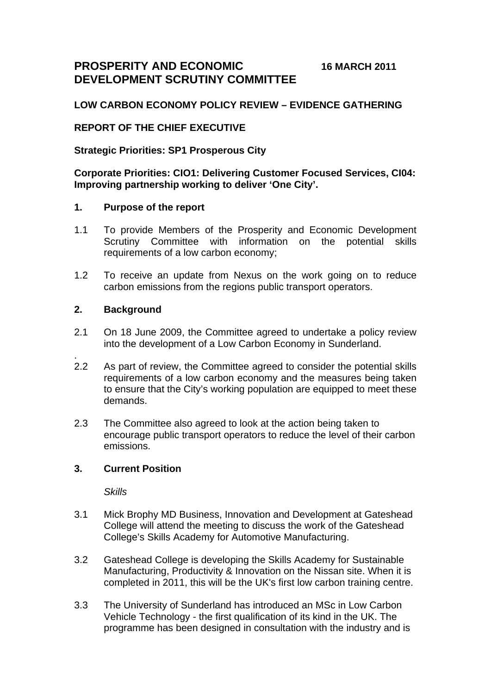**PROSPERITY AND ECONOMIC 16 MARCH 2011 DEVELOPMENT SCRUTINY COMMITTEE** 

# **LOW CARBON ECONOMY POLICY REVIEW – EVIDENCE GATHERING**

# **REPORT OF THE CHIEF EXECUTIVE**

## **Strategic Priorities: SP1 Prosperous City**

# **Corporate Priorities: CIO1: Delivering Customer Focused Services, CI04: Improving partnership working to deliver 'One City'.**

## **1. Purpose of the report**

- 1.1 To provide Members of the Prosperity and Economic Development Scrutiny Committee with information on the potential skills requirements of a low carbon economy;
- 1.2 To receive an update from Nexus on the work going on to reduce carbon emissions from the regions public transport operators.

## **2. Background**

.

- 2.1 On 18 June 2009, the Committee agreed to undertake a policy review into the development of a Low Carbon Economy in Sunderland.
- 2.2 As part of review, the Committee agreed to consider the potential skills requirements of a low carbon economy and the measures being taken to ensure that the City's working population are equipped to meet these demands.
- 2.3 The Committee also agreed to look at the action being taken to encourage public transport operators to reduce the level of their carbon emissions.

## **3. Current Position**

*Skills* 

- 3.1 Mick Brophy MD Business, Innovation and Development at Gateshead College will attend the meeting to discuss the work of the Gateshead College's Skills Academy for Automotive Manufacturing.
- 3.2 Gateshead College is developing the Skills Academy for Sustainable Manufacturing, Productivity & Innovation on the Nissan site. When it is completed in 2011, this will be the UK's first low carbon training centre.
- 3.3 The University of Sunderland has introduced an MSc in Low Carbon Vehicle Technology - the first qualification of its kind in the UK. The programme has been designed in consultation with the industry and is